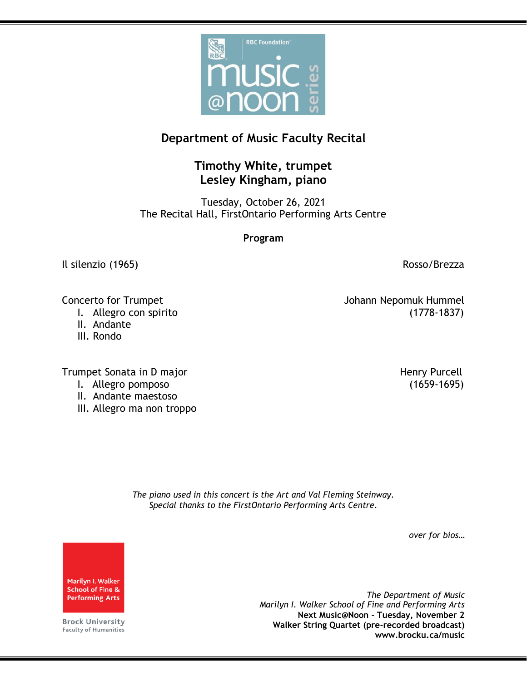

## **Department of Music Faculty Recital**

## **Timothy White, trumpet Lesley Kingham, piano**

Tuesday, October 26, 2021 The Recital Hall, FirstOntario Performing Arts Centre

**Program**

Il silenzio (1965) all'estate di un province di un province di un province di un province di un province di un province di un province di un province di un province di un province di un province di un province di un provin

Concerto for Trumpet Johann Nepomuk Hummel

- I. Allegro con spirito (1778-1837)
- II. Andante
- III. Rondo

Trumpet Sonata in D major **Henry Purcell** 

- I. Allegro pomposo (1659-1695)
- II. Andante maestoso
- III. Allegro ma non troppo

*The piano used in this concert is the Art and Val Fleming Steinway. Special thanks to the FirstOntario Performing Arts Centre.*

*over for bios…*

Marilyn I. Walker **School of Fine & Performing Arts** 

**Brock University** Faculty of Humanities

*The Department of Music Marilyn I. Walker School of Fine and Performing Arts* **Next Music@Noon – Tuesday, November 2 Walker String Quartet (pre-recorded broadcast) www.brocku.ca/music**